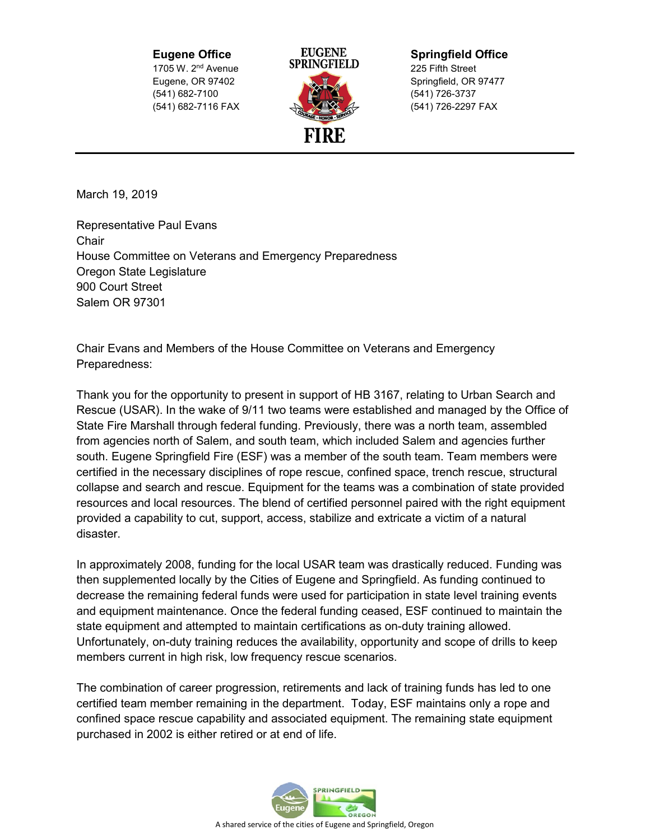1705 W. 2<sup>nd</sup> Avenue **3PRINGFIELD** 225 Fifth Street (541) 682-7100 (541) 726-3737 (541) 682-7116 FAX (541) 726-2297 FAX



**Eugene Office EUGENE Springfield Office**<br>1705 W 2nd Avenue **SPRINGFIELD** 225 Fifth Street Eugene, OR 97402 Springfield, OR 97477

March 19, 2019

Representative Paul Evans **Chair** House Committee on Veterans and Emergency Preparedness Oregon State Legislature 900 Court Street Salem OR 97301

Chair Evans and Members of the House Committee on Veterans and Emergency Preparedness:

Thank you for the opportunity to present in support of HB 3167, relating to Urban Search and Rescue (USAR). In the wake of 9/11 two teams were established and managed by the Office of State Fire Marshall through federal funding. Previously, there was a north team, assembled from agencies north of Salem, and south team, which included Salem and agencies further south. Eugene Springfield Fire (ESF) was a member of the south team. Team members were certified in the necessary disciplines of rope rescue, confined space, trench rescue, structural collapse and search and rescue. Equipment for the teams was a combination of state provided resources and local resources. The blend of certified personnel paired with the right equipment provided a capability to cut, support, access, stabilize and extricate a victim of a natural disaster.

In approximately 2008, funding for the local USAR team was drastically reduced. Funding was then supplemented locally by the Cities of Eugene and Springfield. As funding continued to decrease the remaining federal funds were used for participation in state level training events and equipment maintenance. Once the federal funding ceased, ESF continued to maintain the state equipment and attempted to maintain certifications as on-duty training allowed. Unfortunately, on-duty training reduces the availability, opportunity and scope of drills to keep members current in high risk, low frequency rescue scenarios.

The combination of career progression, retirements and lack of training funds has led to one certified team member remaining in the department. Today, ESF maintains only a rope and confined space rescue capability and associated equipment. The remaining state equipment purchased in 2002 is either retired or at end of life.